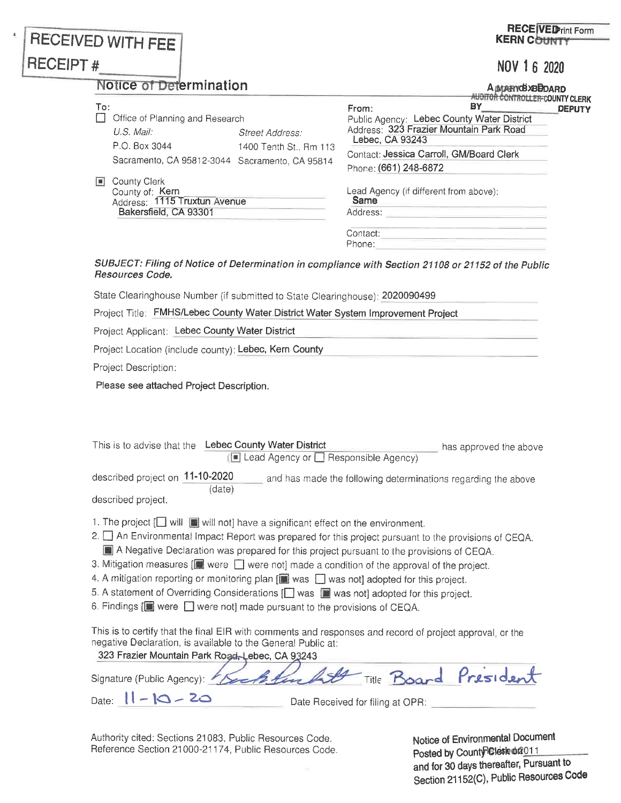| <b>I RECEIVED WITH FEE !</b> |       | <b>RECEIVED</b> rint Form<br><b>KERN COUNTY</b>        |
|------------------------------|-------|--------------------------------------------------------|
| <b>RECEIPT#</b>              |       | NOV 1 6 2020                                           |
| Notice of Determination      |       | <b>A MONEY CE XBEDARD</b>                              |
| To:                          | From: | AUDITOR CONTROLLER-COUNTY CLERK<br>BY<br><b>DEPUTY</b> |

| Notice of Determination |                                                                                          |                                           | <b>A MONRYCH XBEDARD</b>                                          |                                                                                                                                |               |  |
|-------------------------|------------------------------------------------------------------------------------------|-------------------------------------------|-------------------------------------------------------------------|--------------------------------------------------------------------------------------------------------------------------------|---------------|--|
| To:                     | Office of Planning and Research<br>U.S. Mail:                                            |                                           | From:                                                             | AUDITOR CONTROLLER-COUNTY CLERK<br>BY<br>Public Agency: Lebec County Water District<br>Address: 323 Frazier Mountain Park Road | <b>DEPUTY</b> |  |
|                         | P.O. Box 3044                                                                            | Street Address:<br>1400 Tenth St., Rm 113 | Lebec, CA 93243                                                   |                                                                                                                                |               |  |
| $\blacksquare$          | Sacramento, CA 95812-3044 Sacramento, CA 95814                                           |                                           | Contact: Jessica Carroll, GM/Board Clerk<br>Phone: (661) 248-6872 |                                                                                                                                |               |  |
|                         | County Clerk<br>County of: Kern<br>Address: 1115 Truxtun Avenue<br>Bakersfield, CA 93301 |                                           | Lead Agency (if different from above):<br>Same<br>Address:        |                                                                                                                                |               |  |
|                         |                                                                                          |                                           | Contact:<br>Phone:                                                |                                                                                                                                |               |  |

SUBJECT: Filing of Notice of Determination in compliance with Section <sup>21108</sup> or <sup>21152</sup> of the Public Resources Code.

State Clearinghouse Number (if submitted to State Clearinghouse): 2020090499

Project Title: FMHS/Lebec County Water District Water System Improvement Project

Project Applicant; Lebec County Water District

Project Location (include county): Lebec, Kern County

Project Description:

Please see attached Project Description.

| This is to advise that the                            | <b>Lebec County Water District</b><br>$\Box$ Lead Agency or $\Box$ Responsible Agency)                                                                                                                                                                                                                                                                                                                                                                                                                                                                                                                                                                                                                  |                                                               | has approved the above |
|-------------------------------------------------------|---------------------------------------------------------------------------------------------------------------------------------------------------------------------------------------------------------------------------------------------------------------------------------------------------------------------------------------------------------------------------------------------------------------------------------------------------------------------------------------------------------------------------------------------------------------------------------------------------------------------------------------------------------------------------------------------------------|---------------------------------------------------------------|------------------------|
| described project on 11-10-2020<br>described project. | (date)                                                                                                                                                                                                                                                                                                                                                                                                                                                                                                                                                                                                                                                                                                  | and has made the following determinations regarding the above |                        |
|                                                       | 1. The project [ ] will sum will not] have a significant effect on the environment.<br>2. An Environmental Impact Report was prepared for this project pursuant to the provisions of CEQA.<br>A Negative Declaration was prepared for this project pursuant to the provisions of CEQA.<br>3. Mitigation measures $[\blacksquare]$ were $\Box$ were not] made a condition of the approval of the project.<br>4. A mitigation reporting or monitoring plan [in was $\Box$ was not] adopted for this project.<br>5. A statement of Overriding Considerations [ ] was [ ] was not] adopted for this project.<br>6. Findings $[\blacksquare]$ were $\Box$ were not] made pursuant to the provisions of CEQA. |                                                               |                        |
| Dianation (D.1)                                       | This is to certify that the final EIR with comments and responses and record of project approval, or the<br>negative Declaration, is available to the General Public at:<br>323 Frazier Mountain Park Road, Lebec, CA 93243                                                                                                                                                                                                                                                                                                                                                                                                                                                                             | $-2$                                                          | $P_{\text{non-1}}$     |

|  |                 |  |  | Signature (Public Agency): Exerts two Little Board President |  |
|--|-----------------|--|--|--------------------------------------------------------------|--|
|  | $\sim$ 11 10 20 |  |  |                                                              |  |

Date:  $1' - 1Q - 2Q$  Date Received for filing at OPR:

Authority cited: Sections 21083, Public Resources Code.<br>
Reference Section 21000-21174, Public Resources Code.<br>
Posted by County Clark and 211 Reference Section 21000-21174, Public Resources Code.

and for <sup>30</sup> days thereafter, Pursuant to Section 21152(C), Public Resources Code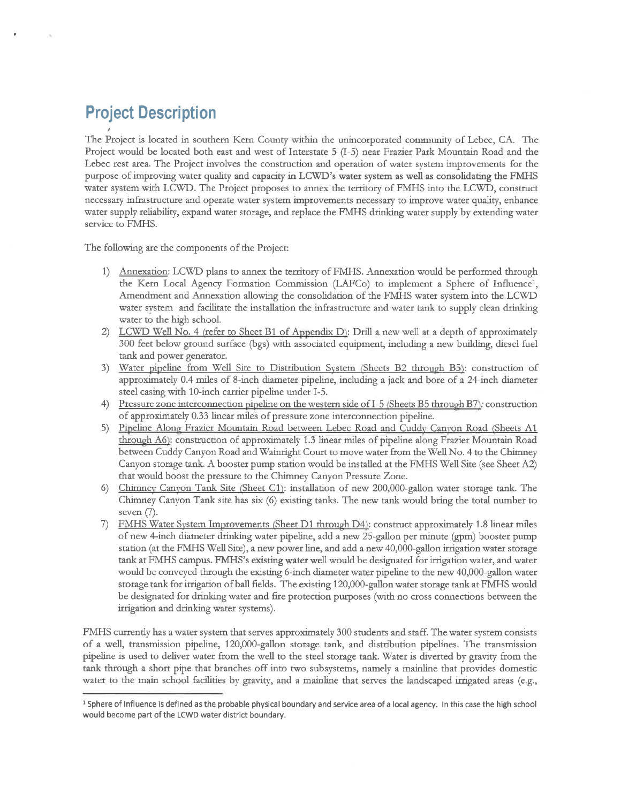## **Project Description**

The Project is located in southern Kern County within the unincorporated community of Lebec, CA. The Project would be located both east and west of Interstate 5 (I-5) near Frazier Park Mountain Road and the Lebec rest area. The Project involves the construction and operation of water system improvements for the purpose of improving water quality and capacity in LCWD's water system as well as consolidating the FMHS water system with LCWD. The Project proposes to annex the territory of FMHS into the LCWD, construct necessary infrastructure and operate water system improvements necessary to improve water quality, enhance water supply reliability, expand water storage, and replace the FMHS drinking water supply by extending water service to FMHS.

The following are the components of the Project:

- 1) Annexation: LCWD plans to annex the territory of FMHS. Annexation would be performed through the Kern Local Agency Formation Commission (LAFCo) to implement a Sphere of Influence<sup>1</sup>, Amendment and Annexation allowing the consolidation of the FMHS water system into the LCWD water system and facilitate the installation the infrastructure and water tank to supply clean drinking water to the high school.
- LCWD Well No. 4 (refer to Sheet B1 of Appendix D): Drill a new well at a depth of approximately  $(2)$ 300 feet below ground surface (bgs) with associated equipment, including a new building, diesel fuel tank and power generator.
- 3) Water pipeline from Well Site to Distribution System (Sheets B2 through B5): construction of approximately 0.4 miles of 8-inch diameter pipeline, including a jack and bore of a 24-inch diameter steel casing with 10-inch carrier pipeline under I-5.
- Pressure zone interconnection pipeline on the western side of I-5 (Sheets B5 through B7): construction  $4)$ of approximately 0.33 linear miles of pressure zone interconnection pipeline.
- $5)$ Pipeline Along Frazier Mountain Road between Lebec Road and Cuddy Canyon Road (Sheets A1 through A6): construction of approximately 1.3 linear miles of pipeline along Frazier Mountain Road between Cuddy Canyon Road and Wainright Court to move water from the Well No. 4 to the Chimney Canyon storage tank. A booster pump station would be installed at the FMHS Well Site (see Sheet A2) that would boost the pressure to the Chimney Canyon Pressure Zone.
- 6) Chimney Canyon Tank Site (Sheet C1): installation of new 200,000-gallon water storage tank. The Chimney Canyon Tank site has six (6) existing tanks. The new tank would bring the total number to seven  $(7)$ .
- 7) FMHS Water System Improvements (Sheet D1 through D4): construct approximately 1.8 linear miles of new 4-inch diameter drinking water pipeline, add a new 25-gallon per minute (gpm) booster pump station (at the FMHS Well Site), a new power line, and add a new 40,000-gallon irrigation water storage tank at FMHS campus. FMHS's existing water well would be designated for irrigation water, and water would be conveyed through the existing 6-inch diameter water pipeline to the new 40,000-gallon water storage tank for irrigation of ball fields. The existing 120,000-gallon water storage tank at FMHS would be designated for drinking water and fire protection purposes (with no cross connections between the irrigation and drinking water systems).

FMHS currently has a water system that serves approximately 300 students and staff. The water system consists of a well, transmission pipeline, 120,000-gallon storage tank, and distribution pipelines. The transmission pipeline is used to deliver water from the well to the steel storage tank. Water is diverted by gravity from the tank through a short pipe that branches off into two subsystems, namely a mainline that provides domestic water to the main school facilities by gravity, and a mainline that serves the landscaped irrigated areas (e.g.,

<sup>&</sup>lt;sup>1</sup> Sphere of Influence is defined as the probable physical boundary and service area of a local agency. In this case the high school would become part of the LCWD water district boundary.